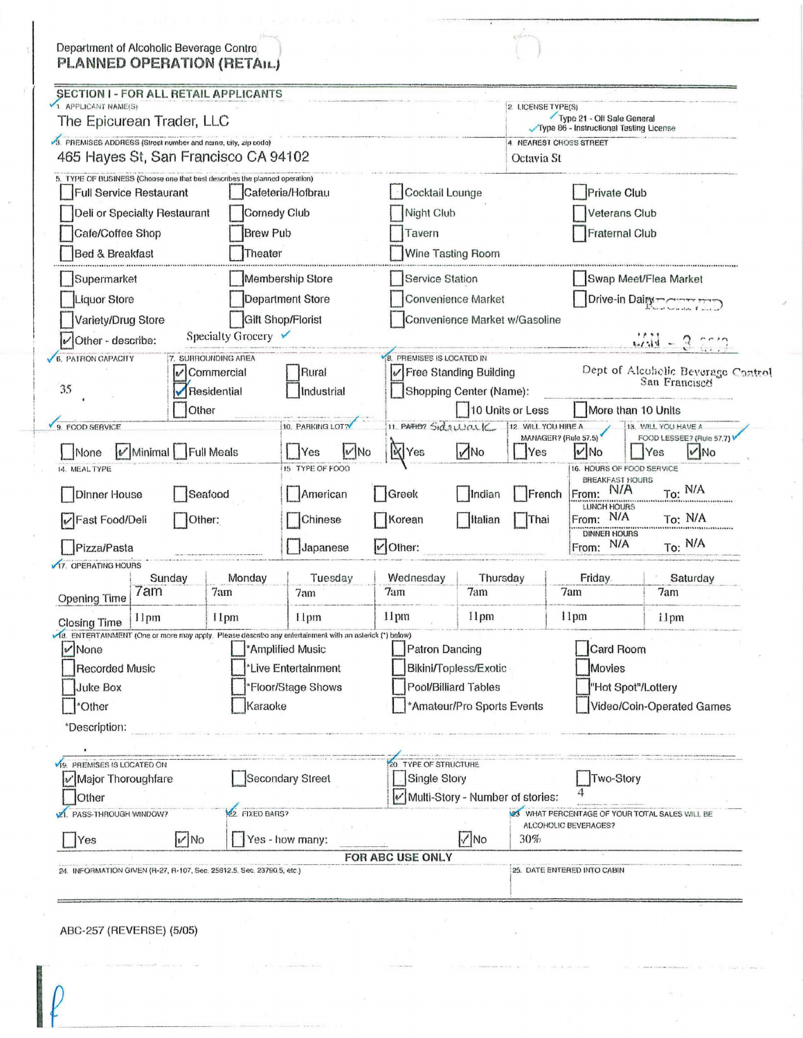| Department of Alcoholic Beverage Contro<br>PLANNED OPERATION (RETAIL)                                                                                                                                                                       |               |                                                                                 |                                                                                                                                                                             |                                                                                                      |                                                                          |                                                                                                                                                                                           |                                                                           |
|---------------------------------------------------------------------------------------------------------------------------------------------------------------------------------------------------------------------------------------------|---------------|---------------------------------------------------------------------------------|-----------------------------------------------------------------------------------------------------------------------------------------------------------------------------|------------------------------------------------------------------------------------------------------|--------------------------------------------------------------------------|-------------------------------------------------------------------------------------------------------------------------------------------------------------------------------------------|---------------------------------------------------------------------------|
| SECTION I - FOR ALL RETAIL APPLICANTS<br>1. APPLICANT NAME(S)<br>The Epicurean Trader, LLC                                                                                                                                                  |               |                                                                                 |                                                                                                                                                                             |                                                                                                      | 2 LICENSE TYPE(S)                                                        | Type 21 - Off Sale General                                                                                                                                                                |                                                                           |
| 3. PREMISES ADDRESS (Street number and name, city, zip code)<br>465 Hayes St, San Francisco CA 94102                                                                                                                                        |               | Type 86 - Instructional Tasting License<br>4 NEAREST CHOSS STREET<br>Octavia St |                                                                                                                                                                             |                                                                                                      |                                                                          |                                                                                                                                                                                           |                                                                           |
| 5. TYPE OF BUSINESS (Choose one that best describes the planned operation)<br><b>Full Service Restaurant</b><br>Deli or Specialty Restaurant<br>Comedy Club<br><b>Brew Pub</b><br>Cafe/Coffee Shop<br><b>Bed &amp; Breakfast</b><br>Theater |               | Cafeteria/Hofbrau                                                               | Tavern                                                                                                                                                                      | Cocktail Lounge<br>Night Club<br>Wine Tasting Room                                                   |                                                                          | Private Club<br><b>Veterans Club</b><br><b>Fraternal Club</b>                                                                                                                             |                                                                           |
| Supermarket<br>Liquor Store<br>Variety/Drug Store<br>Specialty Grocery ∨<br>$\nu$ Other - describe:                                                                                                                                         |               | Membership Store<br>Department Store<br><b>Gift Shop/Florist</b>                | <b>Service Station</b><br>Convenience Market<br>Convenience Market w/Gasoline                                                                                               |                                                                                                      | Swap Meet/Flea Market<br>Drive-in Dairy Communication<br>$4.44 - 3.0012$ |                                                                                                                                                                                           |                                                                           |
| <b>6. PATHON CAPACITY</b><br>7. SURROUNDING AREA<br>v Commercial<br>35<br>Residential<br>Other                                                                                                                                              |               | Rural<br>Industrial                                                             | <b>8. PREMISES IS LOCATED IN</b><br>$\mathcal{V}$ Free Standing Building                                                                                                    | Shopping Center (Name):<br>10 Units or Less                                                          |                                                                          |                                                                                                                                                                                           | Dept of Alcoholic Beverage Control<br>San Francisco<br>More than 10 Units |
| 9. FOOD SERVICE<br>Minimal Full Meals<br>Mone<br>14. MEAL TYPE<br><b>Dinner House</b><br>Seafood<br>√Fast Food/Deli<br>Other:                                                                                                               |               | 10. PARKING LOT?<br>$ v $ No<br> Yes<br>15 TYPE OF FOOD<br>American<br>Chinese  | 11. PATION SIDERLICE<br>12 WILL YOU HIRE A<br>MANAGER? (Rule 57.5)<br><b>X</b> Yes<br>$M$ No<br><b>Yes</b><br>Greek<br>French<br>Indian<br>Korean<br><b>Italian</b><br>Thai |                                                                                                      | V No<br>From:                                                            | 13. WILL YOU HAVE A<br>FOOD LESSEE? (Rule 57.7)<br>$ V $ No<br>Yes<br>16. HOURS OF FOOD SERVICE<br><b>BREAKFAST HOURS</b><br>To: N/A<br><b>N/A</b><br>LUNCH HOURS<br>From: N/A<br>To: N/A |                                                                           |
| Pizza/Pasta                                                                                                                                                                                                                                 |               | $ v $ Other:<br>Japanese                                                        |                                                                                                                                                                             | DINNER HOURS<br>From: N/A<br>To: N/A                                                                 |                                                                          |                                                                                                                                                                                           |                                                                           |
| 17. OPERATING HOURS<br>Sunday<br>7am                                                                                                                                                                                                        | Monday<br>7am | Tuesday<br>7am                                                                  | Wednesday<br>7am                                                                                                                                                            | Thursday<br>7am                                                                                      |                                                                          | Friday.<br>7am                                                                                                                                                                            | Saturday<br>7am                                                           |
| <b>Opening Time</b><br>11pm<br><b>Closing Time</b>                                                                                                                                                                                          | 11pm          | 11pm                                                                            | 11pm                                                                                                                                                                        | 11pm                                                                                                 |                                                                          | 11pm                                                                                                                                                                                      | ilpm                                                                      |
| VIS. ENTERTAINMENT (One or more may apply. Please describe any entertainment with an asterick (*) below)<br>v None<br><b>Recorded Music</b><br><b>Juke Box</b><br>Karaoke<br>'Other<br>*Description:                                        |               | *Amplified Music<br>Live Entertainment<br>'Floor/Stage Shows                    |                                                                                                                                                                             | <b>Patron Dancing</b><br>Bikini/Topless/Exotic<br>Pool/Billiard Tables<br>*Amateur/Pro Sports Events |                                                                          | Card Room<br>Movies<br>"Hot Spot"/Lottery<br>Video/Coin-Operated Games                                                                                                                    |                                                                           |
| <b>19. PREMISES IS LOCATED ON</b><br>Major Thoroughfare<br>Other<br>22. FIXED BARS?<br>PASS-THROUGH WINDOW?                                                                                                                                 |               | <b>Secondary Street</b>                                                         |                                                                                                                                                                             | 20. TYPE OF STRUCTURE<br>Single Story<br>Multi-Story - Number of stories:                            |                                                                          | Two-Story<br>23 WHAT PERCENTAGE OF YOUR TOTAL SALES WILL BE<br>ALCOHOLIC BEVERAGES?                                                                                                       |                                                                           |
| V No<br>$ v $ No<br>Yes - how many:<br>Yes<br>FOR ABC USE ONLY<br>24. INFORMATION GIVEN (R-27, R-107, Sec. 25612.5, Sec. 23790.5, etc.)                                                                                                     |               |                                                                                 |                                                                                                                                                                             |                                                                                                      | 30%<br>25. DATE ENTERED INTO CABIN                                       |                                                                                                                                                                                           |                                                                           |

 $\lambda$ 

 $\bar{\mathbf{z}}$ 

ABC-257 (REVERSE) (5/05)